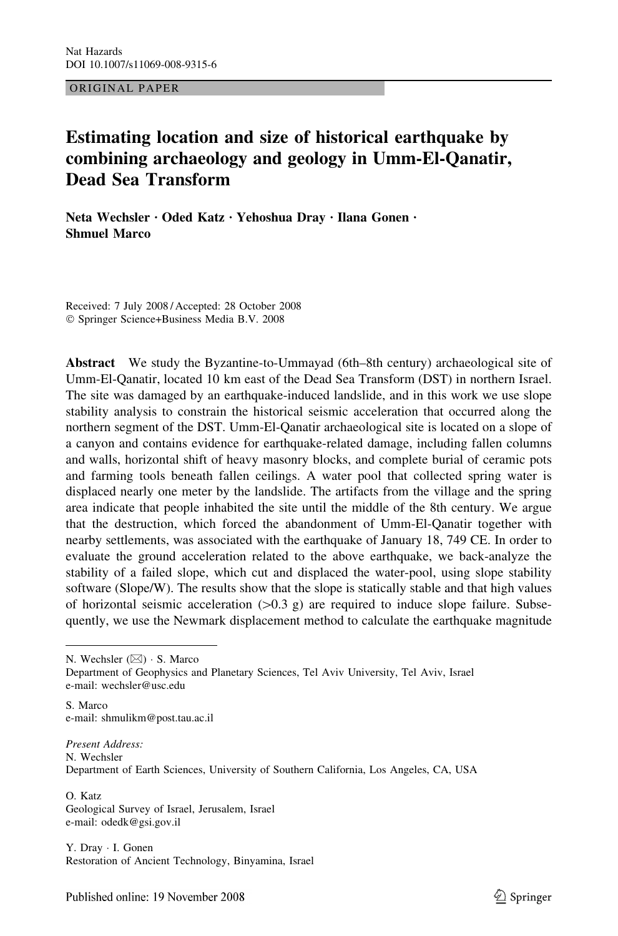ORIGINAL PAPER

# Estimating location and size of historical earthquake by combining archaeology and geology in Umm-El-Qanatir, Dead Sea Transform

Neta Wechsler · Oded Katz · Yehoshua Dray · Ilana Gonen · Shmuel Marco

Received: 7 July 2008 / Accepted: 28 October 2008 ! Springer Science+Business Media B.V. 2008

Abstract We study the Byzantine-to-Ummayad (6th–8th century) archaeological site of Umm-El-Qanatir, located 10 km east of the Dead Sea Transform (DST) in northern Israel. The site was damaged by an earthquake-induced landslide, and in this work we use slope stability analysis to constrain the historical seismic acceleration that occurred along the northern segment of the DST. Umm-El-Qanatir archaeological site is located on a slope of a canyon and contains evidence for earthquake-related damage, including fallen columns and walls, horizontal shift of heavy masonry blocks, and complete burial of ceramic pots and farming tools beneath fallen ceilings. A water pool that collected spring water is displaced nearly one meter by the landslide. The artifacts from the village and the spring area indicate that people inhabited the site until the middle of the 8th century. We argue that the destruction, which forced the abandonment of Umm-El-Qanatir together with nearby settlements, was associated with the earthquake of January 18, 749 CE. In order to evaluate the ground acceleration related to the above earthquake, we back-analyze the stability of a failed slope, which cut and displaced the water-pool, using slope stability software (Slope/W). The results show that the slope is statically stable and that high values of horizontal seismic acceleration  $(>0.3 \text{ g})$  are required to induce slope failure. Subsequently, we use the Newmark displacement method to calculate the earthquake magnitude

N. Wechsler  $(\boxtimes) \cdot$  S. Marco

Department of Geophysics and Planetary Sciences, Tel Aviv University, Tel Aviv, Israel e-mail: wechsler@usc.edu

S. Marco e-mail: shmulikm@post.tau.ac.il

Present Address: N. Wechsler Department of Earth Sciences, University of Southern California, Los Angeles, CA, USA

O. Katz Geological Survey of Israel, Jerusalem, Israel e-mail: odedk@gsi.gov.il

Y. Dray · I. Gonen Restoration of Ancient Technology, Binyamina, Israel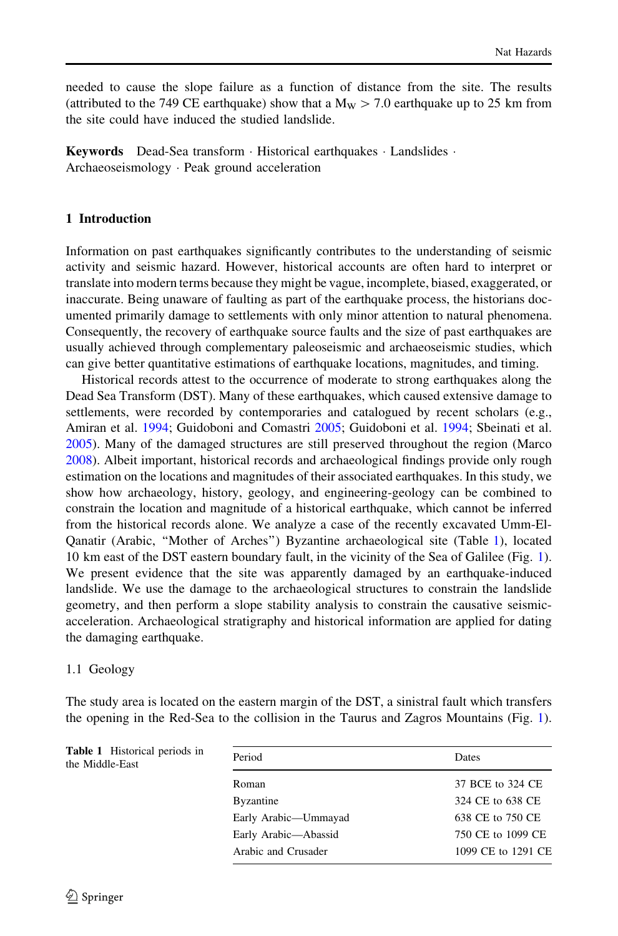needed to cause the slope failure as a function of distance from the site. The results (attributed to the 749 CE earthquake) show that a  $M_W > 7.0$  earthquake up to 25 km from the site could have induced the studied landslide.

**Keywords** Dead-Sea transform  $\cdot$  Historical earthquakes  $\cdot$  Landslides  $\cdot$ Archaeoseismology · Peak ground acceleration

## 1 Introduction

Information on past earthquakes significantly contributes to the understanding of seismic activity and seismic hazard. However, historical accounts are often hard to interpret or translate into modern terms because they might be vague, incomplete, biased, exaggerated, or inaccurate. Being unaware of faulting as part of the earthquake process, the historians documented primarily damage to settlements with only minor attention to natural phenomena. Consequently, the recovery of earthquake source faults and the size of past earthquakes are usually achieved through complementary paleoseismic and archaeoseismic studies, which can give better quantitative estimations of earthquake locations, magnitudes, and timing.

Historical records attest to the occurrence of moderate to strong earthquakes along the Dead Sea Transform (DST). Many of these earthquakes, which caused extensive damage to settlements, were recorded by contemporaries and catalogued by recent scholars (e.g., Amiran et al. [1994](#page-15-0); Guidoboni and Comastri [2005;](#page-15-0) Guidoboni et al. [1994](#page-15-0); Sbeinati et al. [2005\)](#page-16-0). Many of the damaged structures are still preserved throughout the region (Marco [2008\)](#page-15-0). Albeit important, historical records and archaeological findings provide only rough estimation on the locations and magnitudes of their associated earthquakes. In this study, we show how archaeology, history, geology, and engineering-geology can be combined to constrain the location and magnitude of a historical earthquake, which cannot be inferred from the historical records alone. We analyze a case of the recently excavated Umm-El-Qanatir (Arabic, ''Mother of Arches'') Byzantine archaeological site (Table [1](#page-1-0)), located 10 km east of the DST eastern boundary fault, in the vicinity of the Sea of Galilee (Fig. [1](#page-2-0)). We present evidence that the site was apparently damaged by an earthquake-induced landslide. We use the damage to the archaeological structures to constrain the landslide geometry, and then perform a slope stability analysis to constrain the causative seismicacceleration. Archaeological stratigraphy and historical information are applied for dating the damaging earthquake.

### 1.1 Geology

The study area is located on the eastern margin of the DST, a sinistral fault which transfers the opening in the Red-Sea to the collision in the Taurus and Zagros Mountains (Fig. [1](#page-2-0)).

<span id="page-1-0"></span>

| Table 1 Historical periods in | Period               | Dates              |
|-------------------------------|----------------------|--------------------|
| the Middle-East               |                      |                    |
|                               | Roman                | 37 BCE to 324 CE   |
|                               | Byzantine            | 324 CE to 638 CE   |
|                               | Early Arabic-Ummayad | 638 CE to 750 CE   |
|                               | Early Arabic-Abassid | 750 CE to 1099 CE  |
|                               | Arabic and Crusader  | 1099 CE to 1291 CE |
|                               |                      |                    |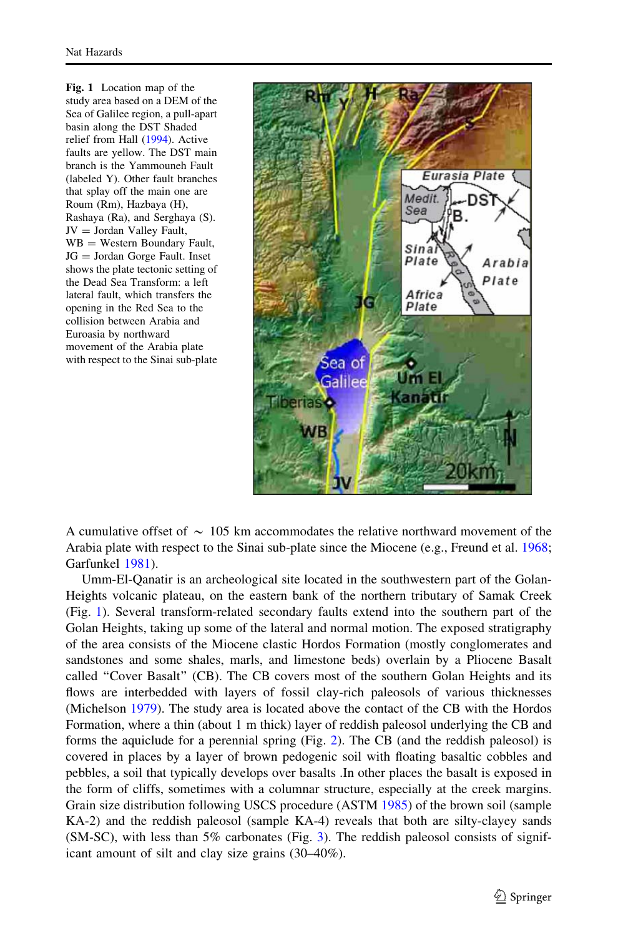Fig. 1 Location map of the study area based on a DEM of the Sea of Galilee region, a pull-apart basin along the DST Shaded relief from Hall ([1994](#page-15-0)). Active faults are yellow. The DST main branch is the Yammouneh Fault (labeled Y). Other fault branches that splay off the main one are Roum (Rm), Hazbaya (H), Rashaya (Ra), and Serghaya (S).  $JV = Jordan$  Valley Fault,  $WB = Western Boundary Fault,$ JG = Jordan Gorge Fault. Inset shows the plate tectonic setting of the Dead Sea Transform: a left lateral fault, which transfers the opening in the Red Sea to the collision between Arabia and Euroasia by northward movement of the Arabia plate with respect to the Sinai sub-plate



A cumulative offset of  $\sim 105$  km accommodates the relative northward movement of the Arabia plate with respect to the Sinai sub-plate since the Miocene (e.g., Freund et al. [1968;](#page-15-0) Garfunkel [1981](#page-15-0)).

<span id="page-2-0"></span>Umm-El-Qanatir is an archeological site located in the southwestern part of the Golan-Heights volcanic plateau, on the eastern bank of the northern tributary of Samak Creek (Fig. [1\)](#page-2-0). Several transform-related secondary faults extend into the southern part of the Golan Heights, taking up some of the lateral and normal motion. The exposed stratigraphy of the area consists of the Miocene clastic Hordos Formation (mostly conglomerates and sandstones and some shales, marls, and limestone beds) overlain by a Pliocene Basalt called ''Cover Basalt'' (CB). The CB covers most of the southern Golan Heights and its flows are interbedded with layers of fossil clay-rich paleosols of various thicknesses (Michelson [1979\)](#page-16-0). The study area is located above the contact of the CB with the Hordos Formation, where a thin (about 1 m thick) layer of reddish paleosol underlying the CB and forms the aquiclude for a perennial spring (Fig. [2\)](#page-3-0). The CB (and the reddish paleosol) is covered in places by a layer of brown pedogenic soil with floating basaltic cobbles and pebbles, a soil that typically develops over basalts .In other places the basalt is exposed in the form of cliffs, sometimes with a columnar structure, especially at the creek margins. Grain size distribution following USCS procedure (ASTM [1985](#page-15-0)) of the brown soil (sample KA-2) and the reddish paleosol (sample KA-4) reveals that both are silty-clayey sands  $(SM-SC)$ , with less than 5% carbonates (Fig. [3](#page-4-0)). The reddish paleosol consists of significant amount of silt and clay size grains (30–40%).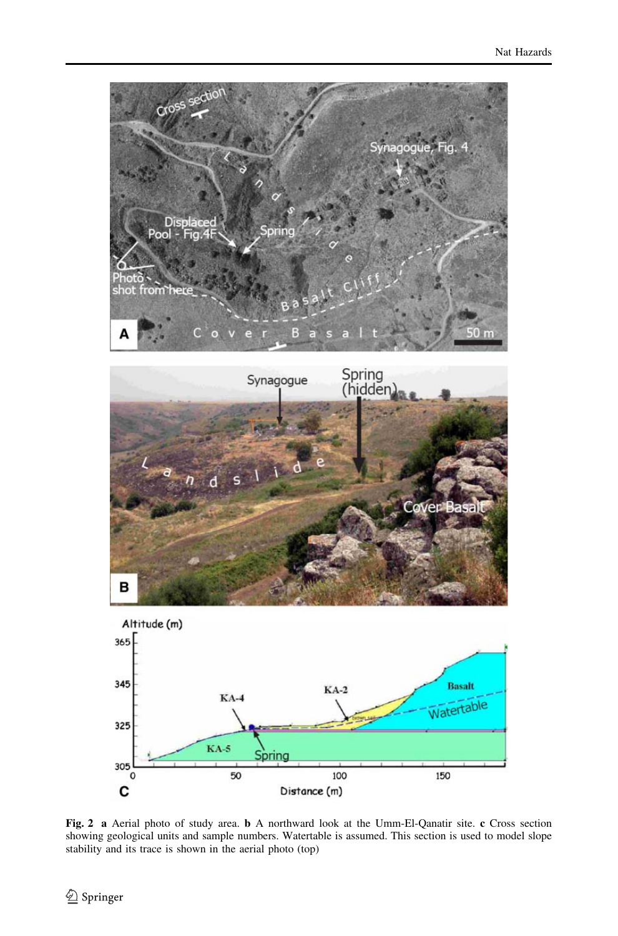





<span id="page-3-0"></span>Fig. 2 a Aerial photo of study area. b A northward look at the Umm-El-Qanatir site. c Cross section showing geological units and sample numbers. Watertable is assumed. This section is used to model slope stability and its trace is shown in the aerial photo (top)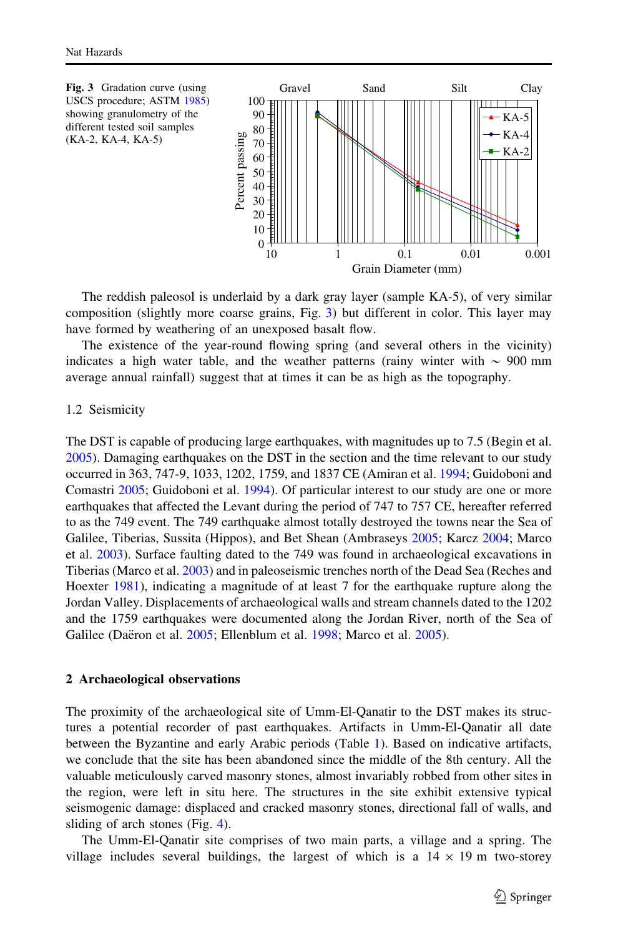

The reddish paleosol is underlaid by a dark gray layer (sample KA-5), of very similar composition (slightly more coarse grains, Fig. [3](#page-4-0)) but different in color. This layer may have formed by weathering of an unexposed basalt flow.

The existence of the year-round flowing spring (and several others in the vicinity) indicates a high water table, and the weather patterns (rainy winter with  $\sim 900$  mm average annual rainfall) suggest that at times it can be as high as the topography.

#### 1.2 Seismicity

The DST is capable of producing large earthquakes, with magnitudes up to 7.5 (Begin et al. [2005\)](#page-15-0). Damaging earthquakes on the DST in the section and the time relevant to our study occurred in 363, 747-9, 1033, 1202, 1759, and 1837 CE (Amiran et al. [1994;](#page-15-0) Guidoboni and Comastri [2005](#page-15-0); Guidoboni et al. [1994](#page-15-0)). Of particular interest to our study are one or more earthquakes that affected the Levant during the period of 747 to 757 CE, hereafter referred to as the 749 event. The 749 earthquake almost totally destroyed the towns near the Sea of Galilee, Tiberias, Sussita (Hippos), and Bet Shean (Ambraseys [2005;](#page-15-0) Karcz [2004](#page-15-0); Marco et al. [2003\)](#page-15-0). Surface faulting dated to the 749 was found in archaeological excavations in Tiberias (Marco et al. [2003\)](#page-15-0) and in paleoseismic trenches north of the Dead Sea (Reches and Hoexter [1981\)](#page-16-0), indicating a magnitude of at least 7 for the earthquake rupture along the Jordan Valley. Displacements of archaeological walls and stream channels dated to the 1202 and the 1759 earthquakes were documented along the Jordan River, north of the Sea of Galilee (Daëron et al. [2005;](#page-15-0) Ellenblum et al. [1998](#page-15-0); Marco et al. [2005](#page-16-0)).

#### 2 Archaeological observations

The proximity of the archaeological site of Umm-El-Qanatir to the DST makes its structures a potential recorder of past earthquakes. Artifacts in Umm-El-Qanatir all date between the Byzantine and early Arabic periods (Table [1\)](#page-1-0). Based on indicative artifacts, we conclude that the site has been abandoned since the middle of the 8th century. All the valuable meticulously carved masonry stones, almost invariably robbed from other sites in the region, were left in situ here. The structures in the site exhibit extensive typical seismogenic damage: displaced and cracked masonry stones, directional fall of walls, and sliding of arch stones (Fig. [4](#page-5-0)).

<span id="page-4-0"></span>The Umm-El-Qanatir site comprises of two main parts, a village and a spring. The village includes several buildings, the largest of which is a  $14 \times 19$  m two-storey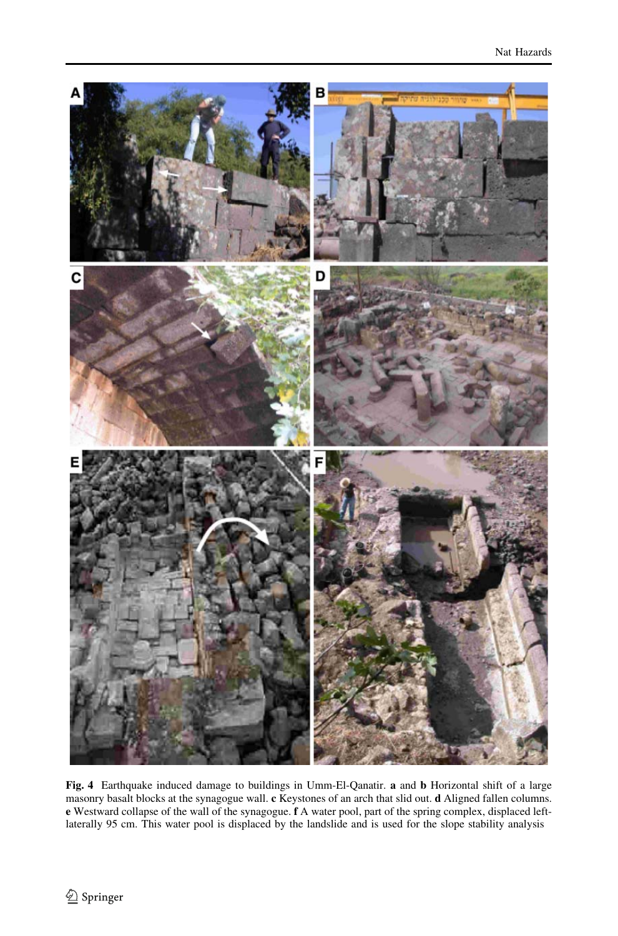

<span id="page-5-0"></span>Fig. 4 Earthquake induced damage to buildings in Umm-El-Qanatir. a and b Horizontal shift of a large masonry basalt blocks at the synagogue wall. c Keystones of an arch that slid out. d Aligned fallen columns. e Westward collapse of the wall of the synagogue. f A water pool, part of the spring complex, displaced leftlaterally 95 cm. This water pool is displaced by the landslide and is used for the slope stability analysis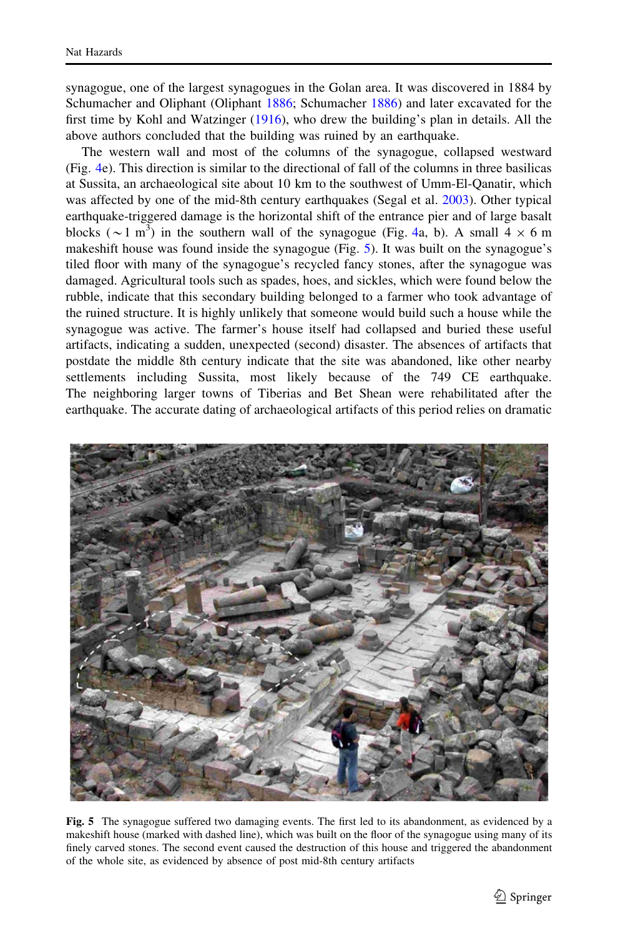synagogue, one of the largest synagogues in the Golan area. It was discovered in 1884 by Schumacher and Oliphant (Oliphant [1886](#page-16-0); Schumacher [1886\)](#page-16-0) and later excavated for the first time by Kohl and Watzinger [\(1916](#page-15-0)), who drew the building's plan in details. All the above authors concluded that the building was ruined by an earthquake.

The western wall and most of the columns of the synagogue, collapsed westward (Fig. [4e](#page-5-0)). This direction is similar to the directional of fall of the columns in three basilicas at Sussita, an archaeological site about 10 km to the southwest of Umm-El-Qanatir, which was affected by one of the mid-8th century earthquakes (Segal et al. [2003\)](#page-16-0). Other typical earthquake-triggered damage is the horizontal shift of the entrance pier and of large basalt blocks ( $\sim$ 1 m<sup>3</sup>) in the southern wall of the synagogue (Fig. [4a](#page-5-0), b). A small  $4 \times 6$  m makeshift house was found inside the synagogue (Fig. [5\)](#page-6-0). It was built on the synagogue's tiled floor with many of the synagogue's recycled fancy stones, after the synagogue was damaged. Agricultural tools such as spades, hoes, and sickles, which were found below the rubble, indicate that this secondary building belonged to a farmer who took advantage of the ruined structure. It is highly unlikely that someone would build such a house while the synagogue was active. The farmer's house itself had collapsed and buried these useful artifacts, indicating a sudden, unexpected (second) disaster. The absences of artifacts that postdate the middle 8th century indicate that the site was abandoned, like other nearby settlements including Sussita, most likely because of the 749 CE earthquake. The neighboring larger towns of Tiberias and Bet Shean were rehabilitated after the earthquake. The accurate dating of archaeological artifacts of this period relies on dramatic



<span id="page-6-0"></span>Fig. 5 The synagogue suffered two damaging events. The first led to its abandonment, as evidenced by a makeshift house (marked with dashed line), which was built on the floor of the synagogue using many of its finely carved stones. The second event caused the destruction of this house and triggered the abandonment of the whole site, as evidenced by absence of post mid-8th century artifacts

 $\mathcal{D}$  Springer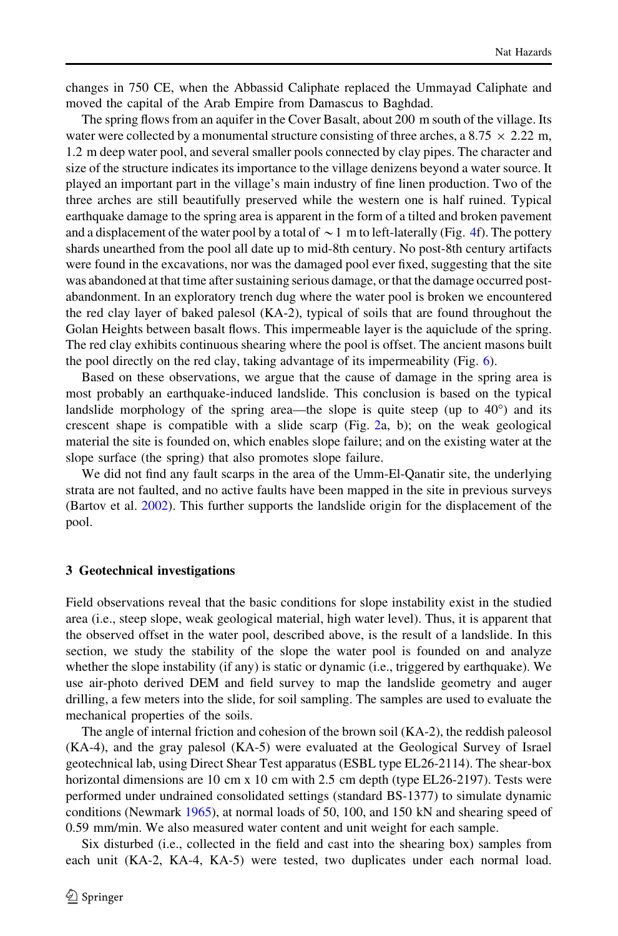changes in 750 CE, when the Abbassid Caliphate replaced the Ummayad Caliphate and moved the capital of the Arab Empire from Damascus to Baghdad.

The spring flows from an aquifer in the Cover Basalt, about 200 m south of the village. Its water were collected by a monumental structure consisting of three arches, a 8.75  $\times$  2.22 m, 1.2 m deep water pool, and several smaller pools connected by clay pipes. The character and size of the structure indicates its importance to the village denizens beyond a water source. It played an important part in the village's main industry of fine linen production. Two of the three arches are still beautifully preserved while the western one is half ruined. Typical earthquake damage to the spring area is apparent in the form of a tilted and broken pavement and a displacement of the water pool by a total of  $\sim$  1 m to left-laterally (Fig. [4](#page-5-0)f). The pottery shards unearthed from the pool all date up to mid-8th century. No post-8th century artifacts were found in the excavations, nor was the damaged pool ever fixed, suggesting that the site was abandoned at that time after sustaining serious damage, or that the damage occurred postabandonment. In an exploratory trench dug where the water pool is broken we encountered the red clay layer of baked palesol (KA-2), typical of soils that are found throughout the Golan Heights between basalt flows. This impermeable layer is the aquiclude of the spring. The red clay exhibits continuous shearing where the pool is offset. The ancient masons built the pool directly on the red clay, taking advantage of its impermeability (Fig. [6](#page-8-0)).

Based on these observations, we argue that the cause of damage in the spring area is most probably an earthquake-induced landslide. This conclusion is based on the typical landslide morphology of the spring area—the slope is quite steep (up to  $40^{\circ}$ ) and its crescent shape is compatible with a slide scarp (Fig. [2](#page-3-0)a, b); on the weak geological material the site is founded on, which enables slope failure; and on the existing water at the slope surface (the spring) that also promotes slope failure.

We did not find any fault scarps in the area of the Umm-El-Qanatir site, the underlying strata are not faulted, and no active faults have been mapped in the site in previous surveys (Bartov et al. [2002\)](#page-15-0). This further supports the landslide origin for the displacement of the pool.

#### 3 Geotechnical investigations

Field observations reveal that the basic conditions for slope instability exist in the studied area (i.e., steep slope, weak geological material, high water level). Thus, it is apparent that the observed offset in the water pool, described above, is the result of a landslide. In this section, we study the stability of the slope the water pool is founded on and analyze whether the slope instability (if any) is static or dynamic (i.e., triggered by earthquake). We use air-photo derived DEM and field survey to map the landslide geometry and auger drilling, a few meters into the slide, for soil sampling. The samples are used to evaluate the mechanical properties of the soils.

The angle of internal friction and cohesion of the brown soil (KA-2), the reddish paleosol (KA-4), and the gray palesol (KA-5) were evaluated at the Geological Survey of Israel geotechnical lab, using Direct Shear Test apparatus (ESBL type EL26-2114). The shear-box horizontal dimensions are 10 cm x 10 cm with 2.5 cm depth (type EL26-2197). Tests were performed under undrained consolidated settings (standard BS-1377) to simulate dynamic conditions (Newmark [1965](#page-16-0)), at normal loads of 50, 100, and 150 kN and shearing speed of 0.59 mm/min. We also measured water content and unit weight for each sample.

Six disturbed (i.e., collected in the field and cast into the shearing box) samples from each unit (KA-2, KA-4, KA-5) were tested, two duplicates under each normal load.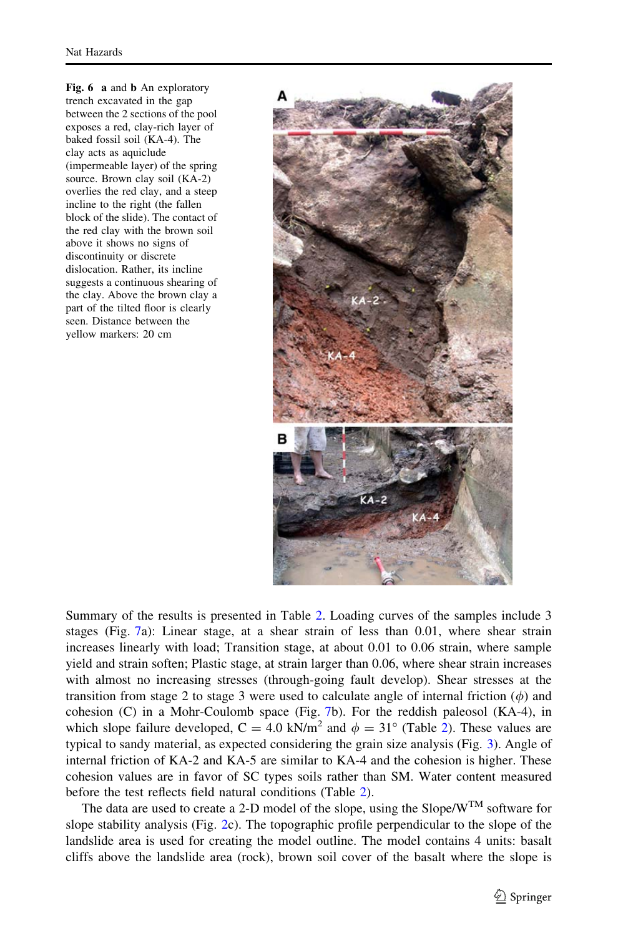Fig. 6 a and **b** An exploratory trench excavated in the gap between the 2 sections of the pool exposes a red, clay-rich layer of baked fossil soil (KA-4). The clay acts as aquiclude (impermeable layer) of the spring source. Brown clay soil (KA-2) overlies the red clay, and a steep incline to the right (the fallen block of the slide). The contact of the red clay with the brown soil above it shows no signs of discontinuity or discrete dislocation. Rather, its incline suggests a continuous shearing of the clay. Above the brown clay a part of the tilted floor is clearly seen. Distance between the yellow markers: 20 cm



Summary of the results is presented in Table [2](#page-9-0). Loading curves of the samples include 3 stages (Fig. [7a](#page-10-0)): Linear stage, at a shear strain of less than 0.01, where shear strain increases linearly with load; Transition stage, at about 0.01 to 0.06 strain, where sample yield and strain soften; Plastic stage, at strain larger than 0.06, where shear strain increases with almost no increasing stresses (through-going fault develop). Shear stresses at the transition from stage 2 to stage 3 were used to calculate angle of internal friction  $(\phi)$  and cohesion (C) in a Mohr-Coulomb space (Fig. [7b](#page-10-0)). For the reddish paleosol (KA-4), in which slope failure developed,  $C = 4.0 \text{ kN/m}^2$  and  $\phi = 31^\circ$  (Table [2\)](#page-9-0). These values are typical to sandy material, as expected considering the grain size analysis (Fig. [3](#page-4-0)). Angle of internal friction of KA-2 and KA-5 are similar to KA-4 and the cohesion is higher. These cohesion values are in favor of SC types soils rather than SM. Water content measured before the test reflects field natural conditions (Table [2\)](#page-9-0).

<span id="page-8-0"></span>The data are used to create a 2-D model of the slope, using the Slope/ $W^{TM}$  software for slope stability analysis (Fig. [2](#page-3-0)c). The topographic profile perpendicular to the slope of the landslide area is used for creating the model outline. The model contains 4 units: basalt cliffs above the landslide area (rock), brown soil cover of the basalt where the slope is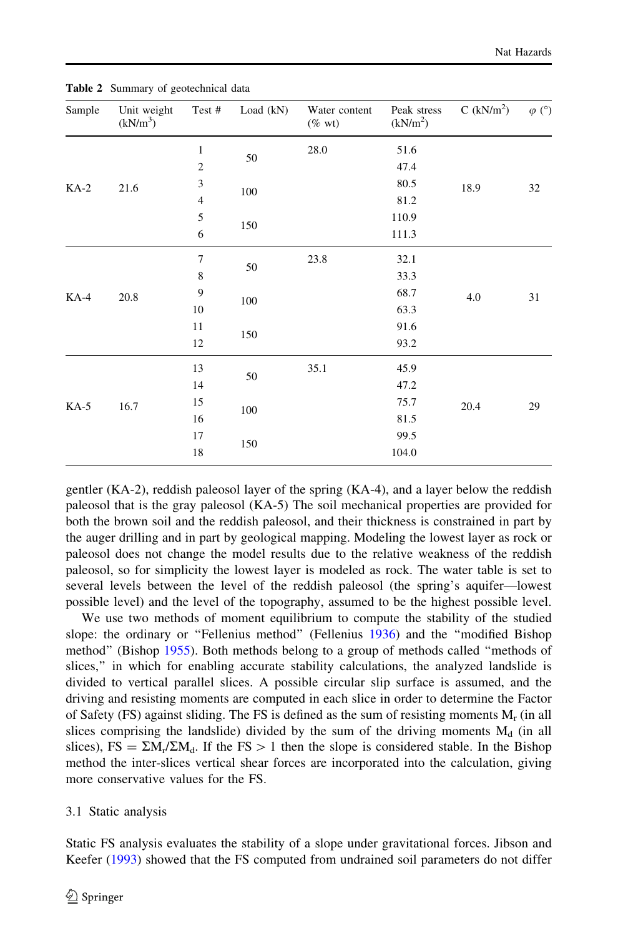| Sample | Unit weight<br>(kN/m <sup>3</sup> ) | Test #           | Load (kN) | Water content<br>$(\%$ wt) | Peak stress<br>(kN/m <sup>2</sup> ) | C $(kN/m2)$ | $\varphi$ (°) |
|--------|-------------------------------------|------------------|-----------|----------------------------|-------------------------------------|-------------|---------------|
|        |                                     | $\mathbf{1}$     |           | 28.0                       | 51.6                                |             | 32            |
| $KA-2$ | 21.6                                | $\boldsymbol{2}$ | 50        |                            | 47.4                                | 18.9        |               |
|        |                                     | $\mathfrak z$    | 100       |                            | 80.5                                |             |               |
|        |                                     | $\overline{4}$   |           |                            | 81.2                                |             |               |
|        |                                     | 5                | 150       |                            | 110.9                               |             |               |
|        |                                     | 6                |           |                            | 111.3                               |             |               |
| $KA-4$ | 20.8                                | $\overline{7}$   | 50        | 23.8                       | 32.1                                | 4.0         | 31            |
|        |                                     | 8                |           |                            | 33.3                                |             |               |
|        |                                     | 9                | 100       |                            | 68.7                                |             |               |
|        |                                     | 10               |           |                            | 63.3                                |             |               |
|        |                                     | 11               | 150       |                            | 91.6                                |             |               |
|        |                                     | 12               |           |                            | 93.2                                |             |               |
| $KA-5$ | 16.7                                | 13               |           | 35.1                       | 45.9                                |             |               |
|        |                                     | 14               | 50        |                            | 47.2                                |             |               |
|        |                                     | 15               | 100       |                            | 75.7                                | 20.4        | 29            |
|        |                                     | 16               |           |                            | 81.5                                |             |               |
|        |                                     | 17               |           |                            | 99.5                                |             |               |
|        |                                     | 18               | 150       |                            | 104.0                               |             |               |

Table 2 Summary of geotechnical data

gentler (KA-2), reddish paleosol layer of the spring (KA-4), and a layer below the reddish paleosol that is the gray paleosol (KA-5) The soil mechanical properties are provided for both the brown soil and the reddish paleosol, and their thickness is constrained in part by the auger drilling and in part by geological mapping. Modeling the lowest layer as rock or paleosol does not change the model results due to the relative weakness of the reddish paleosol, so for simplicity the lowest layer is modeled as rock. The water table is set to several levels between the level of the reddish paleosol (the spring's aquifer—lowest possible level) and the level of the topography, assumed to be the highest possible level.

We use two methods of moment equilibrium to compute the stability of the studied slope: the ordinary or "Fellenius method" (Fellenius [1936](#page-15-0)) and the "modified Bishop method'' (Bishop [1955](#page-15-0)). Both methods belong to a group of methods called ''methods of slices,'' in which for enabling accurate stability calculations, the analyzed landslide is divided to vertical parallel slices. A possible circular slip surface is assumed, and the driving and resisting moments are computed in each slice in order to determine the Factor of Safety (FS) against sliding. The FS is defined as the sum of resisting moments  $M_r$  (in all slices comprising the landslide) divided by the sum of the driving moments  $M_d$  (in all slices),  $FS = \Sigma M_r / \Sigma M_d$ . If the  $FS > 1$  then the slope is considered stable. In the Bishop method the inter-slices vertical shear forces are incorporated into the calculation, giving more conservative values for the FS.

#### 3.1 Static analysis

<span id="page-9-0"></span>Static FS analysis evaluates the stability of a slope under gravitational forces. Jibson and Keefer ([1993\)](#page-15-0) showed that the FS computed from undrained soil parameters do not differ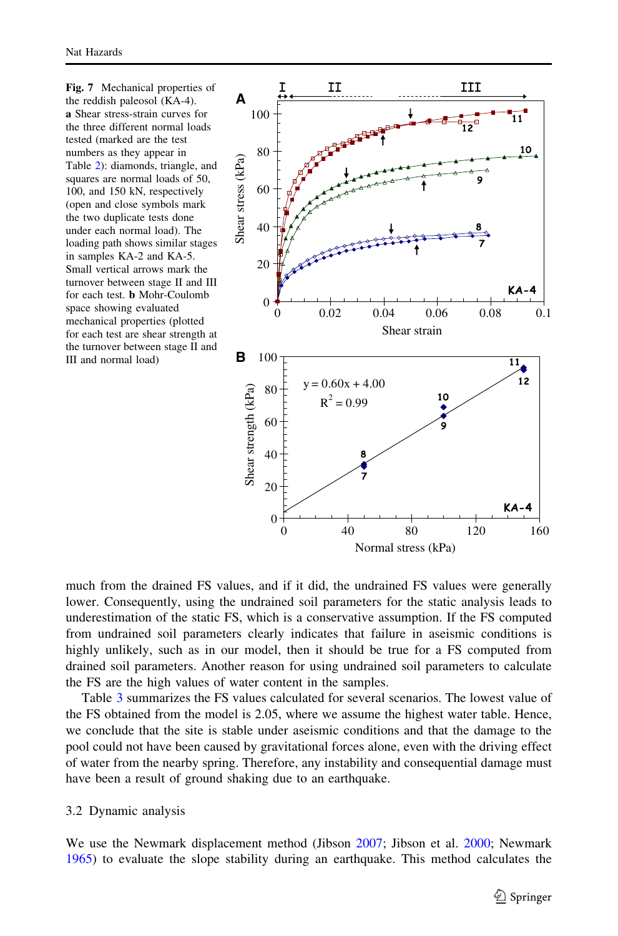Nat Hazards

Fig. 7 Mechanical properties of the reddish paleosol (KA-4). a Shear stress-strain curves for the three different normal loads tested (marked are the test numbers as they appear in Table [2\)](#page-9-0): diamonds, triangle, and squares are normal loads of 50, 100, and 150 kN, respectively (open and close symbols mark the two duplicate tests done under each normal load). The loading path shows similar stages in samples KA-2 and KA-5. Small vertical arrows mark the turnover between stage II and III for each test. b Mohr-Coulomb space showing evaluated mechanical properties (plotted for each test are shear strength at the turnover between stage II and III and normal load)



much from the drained FS values, and if it did, the undrained FS values were generally lower. Consequently, using the undrained soil parameters for the static analysis leads to underestimation of the static FS, which is a conservative assumption. If the FS computed from undrained soil parameters clearly indicates that failure in aseismic conditions is highly unlikely, such as in our model, then it should be true for a FS computed from drained soil parameters. Another reason for using undrained soil parameters to calculate the FS are the high values of water content in the samples.

Table [3](#page-11-0) summarizes the FS values calculated for several scenarios. The lowest value of the FS obtained from the model is 2.05, where we assume the highest water table. Hence, we conclude that the site is stable under aseismic conditions and that the damage to the pool could not have been caused by gravitational forces alone, even with the driving effect of water from the nearby spring. Therefore, any instability and consequential damage must have been a result of ground shaking due to an earthquake.

## 3.2 Dynamic analysis

<span id="page-10-0"></span>We use the Newmark displacement method (Jibson [2007](#page-15-0); Jibson et al. [2000;](#page-15-0) Newmark [1965\)](#page-16-0) to evaluate the slope stability during an earthquake. This method calculates the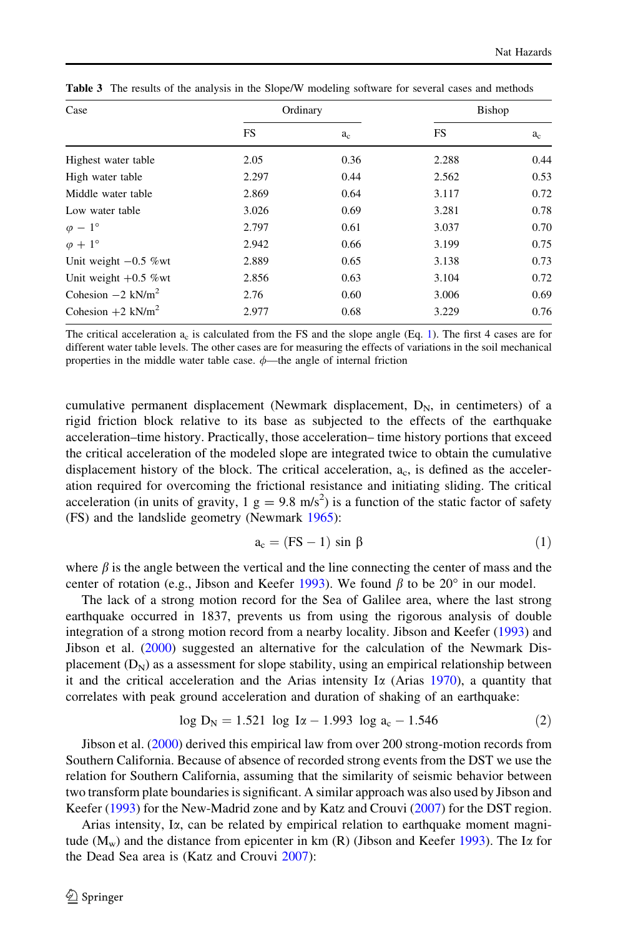| Case                            | Ordinary  |       |       | Bishop |
|---------------------------------|-----------|-------|-------|--------|
|                                 | <b>FS</b> | $a_c$ | FS.   | $a_c$  |
| Highest water table             | 2.05      | 0.36  | 2.288 | 0.44   |
| High water table                | 2.297     | 0.44  | 2.562 | 0.53   |
| Middle water table              | 2.869     | 0.64  | 3.117 | 0.72   |
| Low water table                 | 3.026     | 0.69  | 3.281 | 0.78   |
| $\varphi - 1^{\circ}$           | 2.797     | 0.61  | 3.037 | 0.70   |
| $\varphi + 1^{\circ}$           | 2.942     | 0.66  | 3.199 | 0.75   |
| Unit weight $-0.5$ % wt         | 2.889     | 0.65  | 3.138 | 0.73   |
| Unit weight $+0.5$ %wt          | 2.856     | 0.63  | 3.104 | 0.72   |
| Cohesion $-2$ kN/m <sup>2</sup> | 2.76      | 0.60  | 3.006 | 0.69   |
| Cohesion $+2$ kN/m <sup>2</sup> | 2.977     | 0.68  | 3.229 | 0.76   |

Table 3 The results of the analysis in the Slope/W modeling software for several cases and methods

The critical acceleration  $a_c$  is calculated from the FS and the slope angle (Eq. [1\)](#page-11-0). The first 4 cases are for different water table levels. The other cases are for measuring the effects of variations in the soil mechanical properties in the middle water table case.  $\phi$ —the angle of internal friction

cumulative permanent displacement (Newmark displacement,  $D_N$ , in centimeters) of a rigid friction block relative to its base as subjected to the effects of the earthquake acceleration–time history. Practically, those acceleration– time history portions that exceed the critical acceleration of the modeled slope are integrated twice to obtain the cumulative displacement history of the block. The critical acceleration,  $a<sub>c</sub>$ , is defined as the acceleration required for overcoming the frictional resistance and initiating sliding. The critical acceleration (in units of gravity,  $1 \text{ g} = 9.8 \text{ m/s}^2$ ) is a function of the static factor of safety (FS) and the landslide geometry (Newmark [1965](#page-16-0)):

$$
a_c = (FS - 1) \sin \beta \tag{1}
$$

where  $\beta$  is the angle between the vertical and the line connecting the center of mass and the center of rotation (e.g., Jibson and Keefer [1993](#page-15-0)). We found  $\beta$  to be 20° in our model.

The lack of a strong motion record for the Sea of Galilee area, where the last strong earthquake occurred in 1837, prevents us from using the rigorous analysis of double integration of a strong motion record from a nearby locality. Jibson and Keefer [\(1993](#page-15-0)) and Jibson et al. [\(2000](#page-15-0)) suggested an alternative for the calculation of the Newmark Displacement  $(D_N)$  as a assessment for slope stability, using an empirical relationship between it and the critical acceleration and the Arias intensity I $\alpha$  (Arias [1970\)](#page-15-0), a quantity that correlates with peak ground acceleration and duration of shaking of an earthquake:

$$
\log D_N = 1.521 \log I\alpha - 1.993 \log a_c - 1.546 \tag{2}
$$

Jibson et al. ([2000\)](#page-15-0) derived this empirical law from over 200 strong-motion records from Southern California. Because of absence of recorded strong events from the DST we use the relation for Southern California, assuming that the similarity of seismic behavior between two transform plate boundaries is significant. A similar approach was also used by Jibson and Keefer ([1993\)](#page-15-0) for the New-Madrid zone and by Katz and Crouvi ([2007\)](#page-15-0) for the DST region.

<span id="page-11-0"></span>Arias intensity, I $\alpha$ , can be related by empirical relation to earthquake moment magnitude ( $M_w$ ) and the distance from epicenter in km (R) (Jibson and Keefer [1993](#page-15-0)). The I $\alpha$  for the Dead Sea area is (Katz and Crouvi [2007\)](#page-15-0):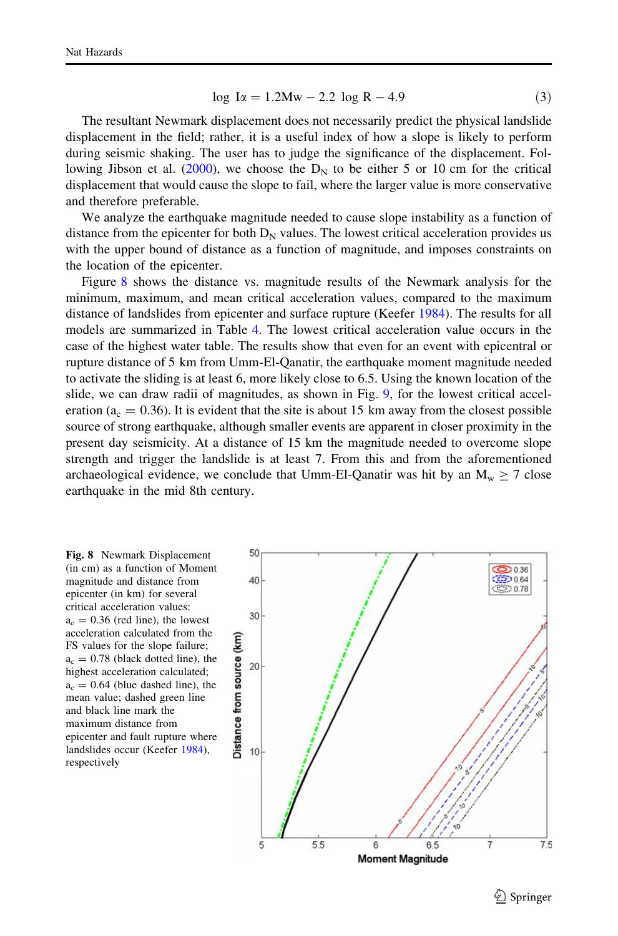$$
\log I\alpha = 1.2 \text{Mw} - 2.2 \log R - 4.9 \tag{3}
$$

The resultant Newmark displacement does not necessarily predict the physical landslide displacement in the field; rather, it is a useful index of how a slope is likely to perform during seismic shaking. The user has to judge the significance of the displacement. Fol-lowing Jibson et al. [\(2000](#page-15-0)), we choose the  $D<sub>N</sub>$  to be either 5 or 10 cm for the critical displacement that would cause the slope to fail, where the larger value is more conservative and therefore preferable.

We analyze the earthquake magnitude needed to cause slope instability as a function of distance from the epicenter for both  $D<sub>N</sub>$  values. The lowest critical acceleration provides us with the upper bound of distance as a function of magnitude, and imposes constraints on the location of the epicenter.

Figure [8](#page-12-0) shows the distance vs. magnitude results of the Newmark analysis for the minimum, maximum, and mean critical acceleration values, compared to the maximum distance of landslides from epicenter and surface rupture (Keefer [1984\)](#page-15-0). The results for all models are summarized in Table [4](#page-13-0). The lowest critical acceleration value occurs in the case of the highest water table. The results show that even for an event with epicentral or rupture distance of 5 km from Umm-El-Qanatir, the earthquake moment magnitude needed to activate the sliding is at least 6, more likely close to 6.5. Using the known location of the slide, we can draw radii of magnitudes, as shown in Fig. [9](#page-13-0), for the lowest critical acceleration ( $a_c = 0.36$ ). It is evident that the site is about 15 km away from the closest possible source of strong earthquake, although smaller events are apparent in closer proximity in the present day seismicity. At a distance of 15 km the magnitude needed to overcome slope strength and trigger the landslide is at least 7. From this and from the aforementioned archaeological evidence, we conclude that Umm-El-Qanatir was hit by an  $M_w \ge 7$  close earthquake in the mid 8th century.

<span id="page-12-0"></span>



 $\textcircled{2}$  Springer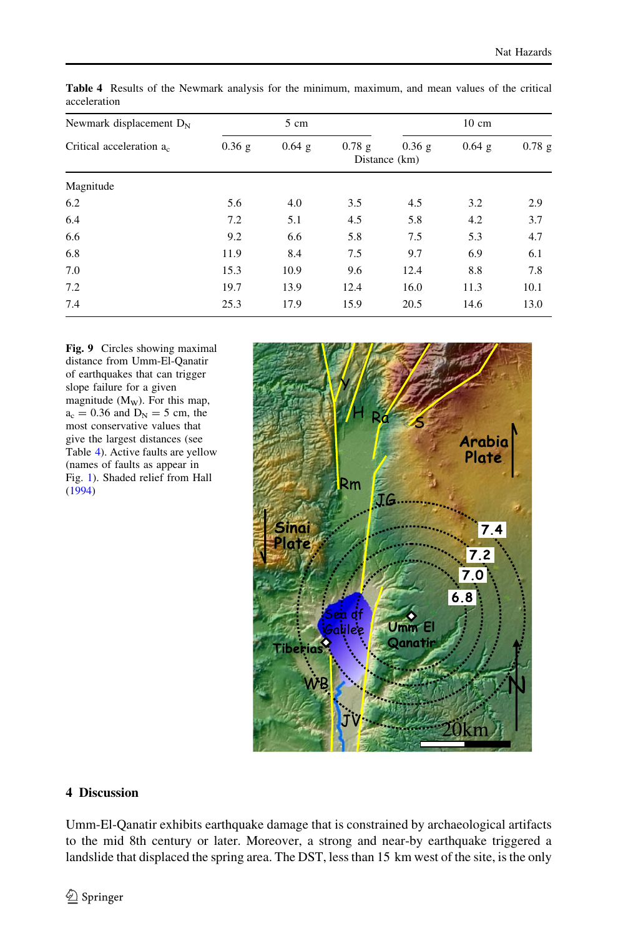| Newmark displacement $D_N$ | 5 cm     |          |       | 10 cm                  |          |          |
|----------------------------|----------|----------|-------|------------------------|----------|----------|
| Critical acceleration a.   | $0.36$ g | $0.64$ g | 0.78g | 0.36g<br>Distance (km) | $0.64$ g | $0.78$ g |
| Magnitude                  |          |          |       |                        |          |          |
| 6.2                        | 5.6      | 4.0      | 3.5   | 4.5                    | 3.2      | 2.9      |
| 6.4                        | 7.2      | 5.1      | 4.5   | 5.8                    | 4.2      | 3.7      |
| 6.6                        | 9.2      | 6.6      | 5.8   | 7.5                    | 5.3      | 4.7      |
| 6.8                        | 11.9     | 8.4      | 7.5   | 9.7                    | 6.9      | 6.1      |
| 7.0                        | 15.3     | 10.9     | 9.6   | 12.4                   | 8.8      | 7.8      |
| 7.2                        | 19.7     | 13.9     | 12.4  | 16.0                   | 11.3     | 10.1     |
| 7.4                        | 25.3     | 17.9     | 15.9  | 20.5                   | 14.6     | 13.0     |

Table 4 Results of the Newmark analysis for the minimum, maximum, and mean values of the critical acceleration

Fig. 9 Circles showing maximal distance from Umm-El-Qanatir of earthquakes that can trigger slope failure for a given magnitude  $(M_W)$ . For this map,  $a_c = 0.36$  and  $D_N = 5$  cm, the most conservative values that give the largest distances (see Table [4\)](#page-13-0). Active faults are yellow (names of faults as appear in Fig. [1\)](#page-2-0). Shaded relief from Hall [\(1994](#page-15-0))



## 4 Discussion

<span id="page-13-0"></span>Umm-El-Qanatir exhibits earthquake damage that is constrained by archaeological artifacts to the mid 8th century or later. Moreover, a strong and near-by earthquake triggered a landslide that displaced the spring area. The DST, less than 15 km west of the site, is the only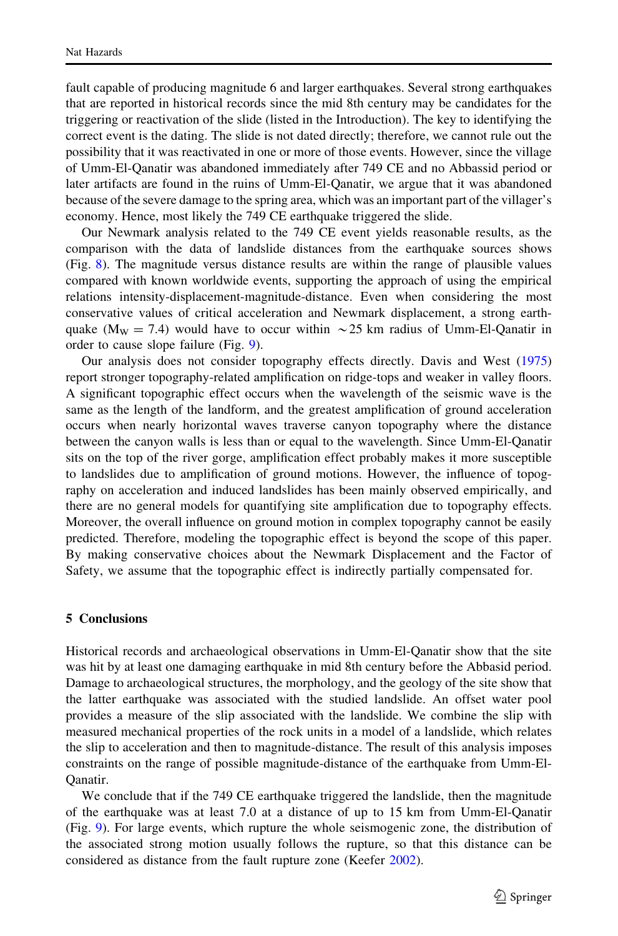fault capable of producing magnitude 6 and larger earthquakes. Several strong earthquakes that are reported in historical records since the mid 8th century may be candidates for the triggering or reactivation of the slide (listed in the Introduction). The key to identifying the correct event is the dating. The slide is not dated directly; therefore, we cannot rule out the possibility that it was reactivated in one or more of those events. However, since the village of Umm-El-Qanatir was abandoned immediately after 749 CE and no Abbassid period or later artifacts are found in the ruins of Umm-El-Qanatir, we argue that it was abandoned because of the severe damage to the spring area, which was an important part of the villager's economy. Hence, most likely the 749 CE earthquake triggered the slide.

Our Newmark analysis related to the 749 CE event yields reasonable results, as the comparison with the data of landslide distances from the earthquake sources shows (Fig. [8\)](#page-12-0). The magnitude versus distance results are within the range of plausible values compared with known worldwide events, supporting the approach of using the empirical relations intensity-displacement-magnitude-distance. Even when considering the most conservative values of critical acceleration and Newmark displacement, a strong earthquake (M<sub>W</sub> = 7.4) would have to occur within  $\sim$  25 km radius of Umm-El-Qanatir in order to cause slope failure (Fig. [9\)](#page-13-0).

Our analysis does not consider topography effects directly. Davis and West ([1975](#page-15-0)) report stronger topography-related amplification on ridge-tops and weaker in valley floors. A significant topographic effect occurs when the wavelength of the seismic wave is the same as the length of the landform, and the greatest amplification of ground acceleration occurs when nearly horizontal waves traverse canyon topography where the distance between the canyon walls is less than or equal to the wavelength. Since Umm-El-Qanatir sits on the top of the river gorge, amplification effect probably makes it more susceptible to landslides due to amplification of ground motions. However, the influence of topography on acceleration and induced landslides has been mainly observed empirically, and there are no general models for quantifying site amplification due to topography effects. Moreover, the overall influence on ground motion in complex topography cannot be easily predicted. Therefore, modeling the topographic effect is beyond the scope of this paper. By making conservative choices about the Newmark Displacement and the Factor of Safety, we assume that the topographic effect is indirectly partially compensated for.

#### 5 Conclusions

Historical records and archaeological observations in Umm-El-Qanatir show that the site was hit by at least one damaging earthquake in mid 8th century before the Abbasid period. Damage to archaeological structures, the morphology, and the geology of the site show that the latter earthquake was associated with the studied landslide. An offset water pool provides a measure of the slip associated with the landslide. We combine the slip with measured mechanical properties of the rock units in a model of a landslide, which relates the slip to acceleration and then to magnitude-distance. The result of this analysis imposes constraints on the range of possible magnitude-distance of the earthquake from Umm-El-Qanatir.

We conclude that if the 749 CE earthquake triggered the landslide, then the magnitude of the earthquake was at least 7.0 at a distance of up to 15 km from Umm-El-Qanatir (Fig. [9\)](#page-13-0). For large events, which rupture the whole seismogenic zone, the distribution of the associated strong motion usually follows the rupture, so that this distance can be considered as distance from the fault rupture zone (Keefer [2002\)](#page-15-0).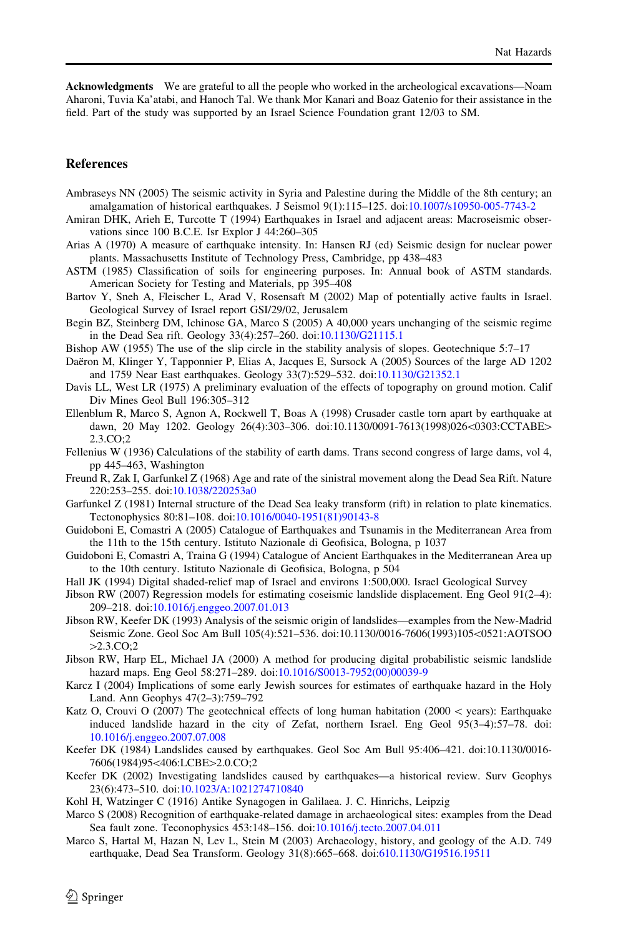Acknowledgments We are grateful to all the people who worked in the archeological excavations—Noam Aharoni, Tuvia Ka'atabi, and Hanoch Tal. We thank Mor Kanari and Boaz Gatenio for their assistance in the field. Part of the study was supported by an Israel Science Foundation grant 12/03 to SM.

#### References

- Ambraseys NN (2005) The seismic activity in Syria and Palestine during the Middle of the 8th century; an amalgamation of historical earthquakes. J Seismol 9(1):115–125. doi[:10.1007/s10950-005-7743-2](http://dx.doi.org/10.1007/s10950-005-7743-2)
- Amiran DHK, Arieh E, Turcotte T (1994) Earthquakes in Israel and adjacent areas: Macroseismic observations since 100 B.C.E. Isr Explor J 44:260–305
- Arias A (1970) A measure of earthquake intensity. In: Hansen RJ (ed) Seismic design for nuclear power plants. Massachusetts Institute of Technology Press, Cambridge, pp 438–483
- ASTM (1985) Classification of soils for engineering purposes. In: Annual book of ASTM standards. American Society for Testing and Materials, pp 395–408
- Bartov Y, Sneh A, Fleischer L, Arad V, Rosensaft M (2002) Map of potentially active faults in Israel. Geological Survey of Israel report GSI/29/02, Jerusalem
- Begin BZ, Steinberg DM, Ichinose GA, Marco S (2005) A 40,000 years unchanging of the seismic regime in the Dead Sea rift. Geology 33(4):257–260. doi:[10.1130/G21115.1](http://dx.doi.org/10.1130/G21115.1)
- Bishop AW (1955) The use of the slip circle in the stability analysis of slopes. Geotechnique 5:7–17
- Daëron M, Klinger Y, Tapponnier P, Elias A, Jacques E, Sursock A (2005) Sources of the large AD 1202 and 1759 Near East earthquakes. Geology 33(7):529–532. doi[:10.1130/G21352.1](http://dx.doi.org/10.1130/G21352.1)
- Davis LL, West LR (1975) A preliminary evaluation of the effects of topography on ground motion. Calif Div Mines Geol Bull 196:305–312
- Ellenblum R, Marco S, Agnon A, Rockwell T, Boas A (1998) Crusader castle torn apart by earthquake at dawn, 20 May 1202. Geology 26(4):303-306. doi:10.1130/0091-7613(1998)026<0303:CCTABE>  $2.3 \text{ CO} \cdot 2$
- Fellenius W (1936) Calculations of the stability of earth dams. Trans second congress of large dams, vol 4, pp 445–463, Washington
- Freund R, Zak I, Garfunkel Z (1968) Age and rate of the sinistral movement along the Dead Sea Rift. Nature 220:253–255. doi:[10.1038/220253a0](http://dx.doi.org/10.1038/220253a0)
- Garfunkel Z (1981) Internal structure of the Dead Sea leaky transform (rift) in relation to plate kinematics. Tectonophysics 80:81–108. doi:[10.1016/0040-1951\(81\)90143-8](http://dx.doi.org/10.1016/0040-1951(81)90143-8)
- Guidoboni E, Comastri A (2005) Catalogue of Earthquakes and Tsunamis in the Mediterranean Area from the 11th to the 15th century. Istituto Nazionale di Geofisica, Bologna, p 1037
- Guidoboni E, Comastri A, Traina G (1994) Catalogue of Ancient Earthquakes in the Mediterranean Area up to the 10th century. Istituto Nazionale di Geofisica, Bologna, p 504
- Hall JK (1994) Digital shaded-relief map of Israel and environs 1:500,000. Israel Geological Survey
- Jibson RW (2007) Regression models for estimating coseismic landslide displacement. Eng Geol 91(2–4): 209–218. doi:[10.1016/j.enggeo.2007.01.013](http://dx.doi.org/10.1016/j.enggeo.2007.01.013)
- Jibson RW, Keefer DK (1993) Analysis of the seismic origin of landslides—examples from the New-Madrid Seismic Zone. Geol Soc Am Bull 105(4):521-536. doi:10.1130/0016-7606(1993)105<0521:AOTSOO  $>2.3$ .CO;2
- Jibson RW, Harp EL, Michael JA (2000) A method for producing digital probabilistic seismic landslide hazard maps. Eng Geol 58:271–289. doi:[10.1016/S0013-7952\(00\)00039-9](http://dx.doi.org/10.1016/S0013-7952(00)00039-9)
- Karcz I (2004) Implications of some early Jewish sources for estimates of earthquake hazard in the Holy Land. Ann Geophys 47(2–3):759–792
- Katz O, Crouvi O (2007) The geotechnical effects of long human habitation (2000  $\lt$  years): Earthquake induced landslide hazard in the city of Zefat, northern Israel. Eng Geol 95(3–4):57–78. doi: [10.1016/j.enggeo.2007.07.008](http://dx.doi.org/10.1016/j.enggeo.2007.07.008)
- Keefer DK (1984) Landslides caused by earthquakes. Geol Soc Am Bull 95:406–421. doi:10.1130/0016- 7606(1984)95<406:LCBE>2.0.CO;2
- Keefer DK (2002) Investigating landslides caused by earthquakes—a historical review. Surv Geophys 23(6):473–510. doi[:10.1023/A:1021274710840](http://dx.doi.org/10.1023/A:1021274710840)
- Kohl H, Watzinger C (1916) Antike Synagogen in Galilaea. J. C. Hinrichs, Leipzig
- Marco S (2008) Recognition of earthquake-related damage in archaeological sites: examples from the Dead Sea fault zone. Teconophysics 453:148–156. doi[:10.1016/j.tecto.2007.04.011](http://dx.doi.org/10.1016/j.tecto.2007.04.011)
- <span id="page-15-0"></span>Marco S, Hartal M, Hazan N, Lev L, Stein M (2003) Archaeology, history, and geology of the A.D. 749 earthquake, Dead Sea Transform. Geology 31(8):665–668. doi:[610.1130/G19516.19511](http://dx.doi.org/610.1130/G19516.19511)